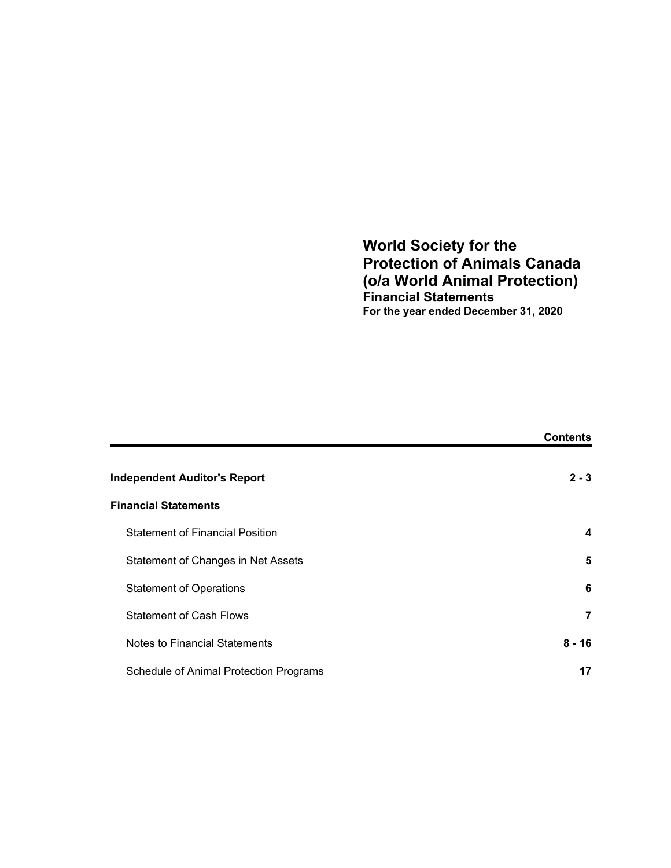# **World Society for the Protection of Animals Canada (o/a World Animal Protection) Financial Statements For the year ended December 31, 2020**

|                                        | <b>Contents</b> |
|----------------------------------------|-----------------|
| <b>Independent Auditor's Report</b>    | $2 - 3$         |
| <b>Financial Statements</b>            |                 |
| <b>Statement of Financial Position</b> | 4               |
| Statement of Changes in Net Assets     | 5               |
| <b>Statement of Operations</b>         | 6               |
| <b>Statement of Cash Flows</b>         | 7               |
| <b>Notes to Financial Statements</b>   | $8 - 16$        |
| Schedule of Animal Protection Programs | 17              |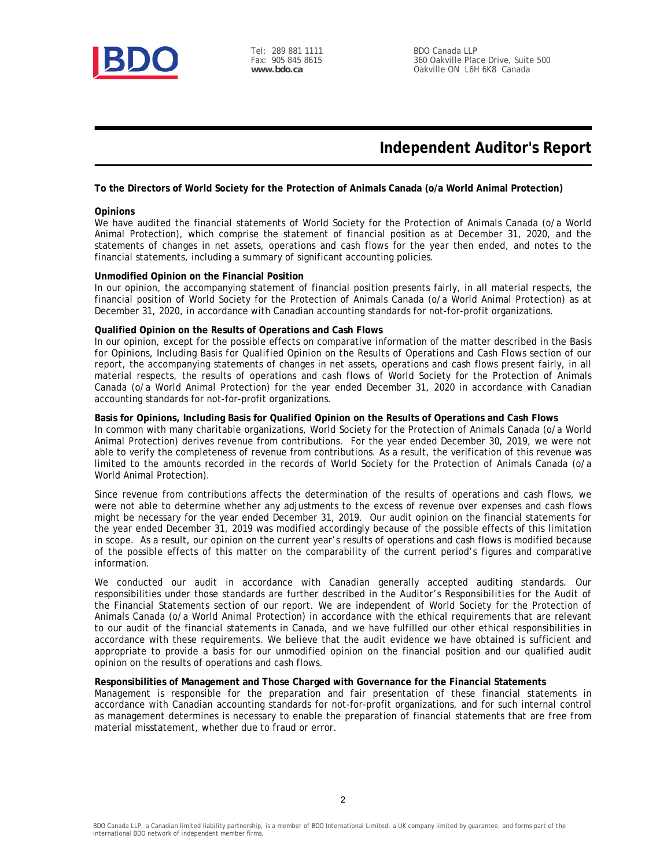

# **Independent Auditor's Report**

#### **To the Directors of World Society for the Protection of Animals Canada (o/a World Animal Protection)**

#### **Opinions**

We have audited the financial statements of World Society for the Protection of Animals Canada (o/a World Animal Protection), which comprise the statement of financial position as at December 31, 2020, and the statements of changes in net assets, operations and cash flows for the year then ended, and notes to the financial statements, including a summary of significant accounting policies.

#### **Unmodified Opinion on the Financial Position**

In our opinion, the accompanying statement of financial position presents fairly, in all material respects, the financial position of World Society for the Protection of Animals Canada (o/a World Animal Protection) as at December 31, 2020, in accordance with Canadian accounting standards for not-for-profit organizations.

#### **Qualified Opinion on the Results of Operations and Cash Flows**

In our opinion, except for the possible effects on comparative information of the matter described in the *Basis for Opinions, Including Basis for Qualified Opinion on the Results of Operations and Cash Flows* section of our report, the accompanying statements of changes in net assets, operations and cash flows present fairly, in all material respects, the results of operations and cash flows of World Society for the Protection of Animals Canada (o/a World Animal Protection) for the year ended December 31, 2020 in accordance with Canadian accounting standards for not-for-profit organizations.

#### **Basis for Opinions, Including Basis for Qualified Opinion on the Results of Operations and Cash Flows**

In common with many charitable organizations, World Society for the Protection of Animals Canada (o/a World Animal Protection) derives revenue from contributions. For the year ended December 30, 2019, we were not able to verify the completeness of revenue from contributions. As a result, the verification of this revenue was limited to the amounts recorded in the records of World Society for the Protection of Animals Canada (o/a World Animal Protection).

Since revenue from contributions affects the determination of the results of operations and cash flows, we were not able to determine whether any adjustments to the excess of revenue over expenses and cash flows might be necessary for the year ended December 31, 2019. Our audit opinion on the financial statements for the year ended December 31, 2019 was modified accordingly because of the possible effects of this limitation in scope. As a result, our opinion on the current year's results of operations and cash flows is modified because of the possible effects of this matter on the comparability of the current period's figures and comparative information.

We conducted our audit in accordance with Canadian generally accepted auditing standards. Our responsibilities under those standards are further described in the *Auditor's Responsibilities for the Audit of the Financial Statements* section of our report. We are independent of World Society for the Protection of Animals Canada (o/a World Animal Protection) in accordance with the ethical requirements that are relevant to our audit of the financial statements in Canada, and we have fulfilled our other ethical responsibilities in accordance with these requirements. We believe that the audit evidence we have obtained is sufficient and appropriate to provide a basis for our unmodified opinion on the financial position and our qualified audit opinion on the results of operations and cash flows.

#### **Responsibilities of Management and Those Charged with Governance for the Financial Statements**

Management is responsible for the preparation and fair presentation of these financial statements in accordance with Canadian accounting standards for not-for-profit organizations, and for such internal control as management determines is necessary to enable the preparation of financial statements that are free from material misstatement, whether due to fraud or error.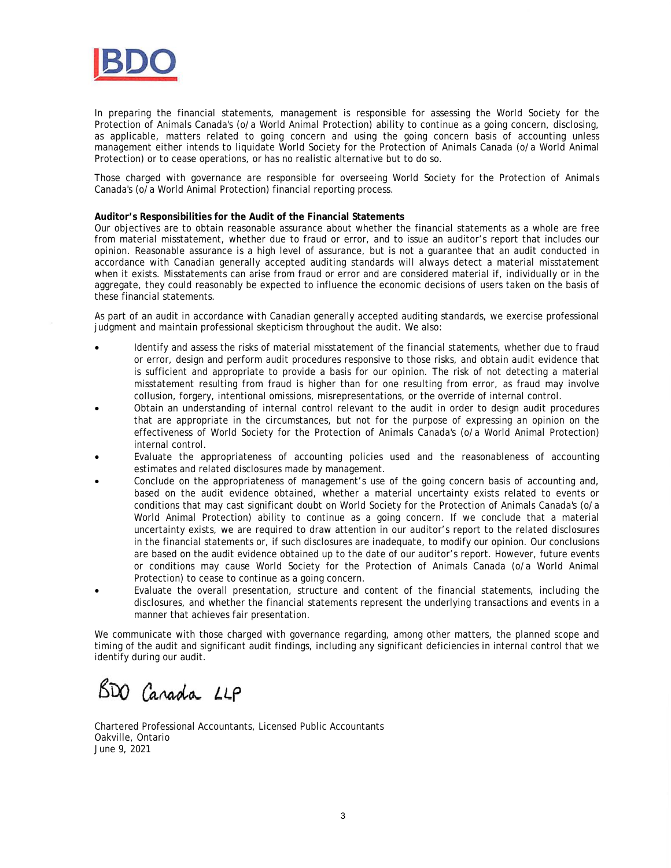

In preparing the financial statements, management is responsible for assessing the World Society for the Protection of Animals Canada's (o/a World Animal Protection) ability to continue as a going concern, disclosing, as applicable, matters related to going concern and using the going concern basis of accounting unless management either intends to liquidate World Society for the Protection of Animals Canada (o/a World Animal Protection) or to cease operations, or has no realistic alternative but to do so.

Those charged with governance are responsible for overseeing World Society for the Protection of Animals Canada's (o/a World Animal Protection) financial reporting process.

#### **Auditor's Responsibilities for the Audit of the Financial Statements**

Our objectives are to obtain reasonable assurance about whether the financial statements as a whole are free from material misstatement, whether due to fraud or error, and to issue an auditor's report that includes our opinion. Reasonable assurance is a high level of assurance, but is not a guarantee that an audit conducted in accordance with Canadian generally accepted auditing standards will always detect a material misstatement when it exists. Misstatements can arise from fraud or error and are considered material if, individually or in the aggregate, they could reasonably be expected to influence the economic decisions of users taken on the basis of these financial statements.

As part of an audit in accordance with Canadian generally accepted auditing standards, we exercise professional judgment and maintain professional skepticism throughout the audit. We also:

- Identify and assess the risks of material misstatement of the financial statements, whether due to fraud or error, design and perform audit procedures responsive to those risks, and obtain audit evidence that is sufficient and appropriate to provide a basis for our opinion. The risk of not detecting a material misstatement resulting from fraud is higher than for one resulting from error, as fraud may involve collusion, forgery, intentional omissions, misrepresentations, or the override of internal control.
- Obtain an understanding of internal control relevant to the audit in order to design audit procedures that are appropriate in the circumstances, but not for the purpose of expressing an opinion on the effectiveness of World Society for the Protection of Animals Canada's (o/a World Animal Protection) internal control.
- Evaluate the appropriateness of accounting policies used and the reasonableness of accounting estimates and related disclosures made by management.
- Conclude on the appropriateness of management's use of the going concern basis of accounting and, based on the audit evidence obtained, whether a material uncertainty exists related to events or conditions that may cast significant doubt on World Society for the Protection of Animals Canada's (o/a World Animal Protection) ability to continue as a going concern. If we conclude that a material uncertainty exists, we are required to draw attention in our auditor's report to the related disclosures in the financial statements or, if such disclosures are inadequate, to modify our opinion. Our conclusions are based on the audit evidence obtained up to the date of our auditor's report. However, future events or conditions may cause World Society for the Protection of Animals Canada (o/a World Animal Protection) to cease to continue as a going concern.
- Evaluate the overall presentation, structure and content of the financial statements, including the disclosures, and whether the financial statements represent the underlying transactions and events in a manner that achieves fair presentation.

We communicate with those charged with governance regarding, among other matters, the planned scope and timing of the audit and significant audit findings, including any significant deficiencies in internal control that we identify during our audit.

BDO Canada LLP

Chartered Professional Accountants, Licensed Public Accountants Oakville, Ontario June 9, 2021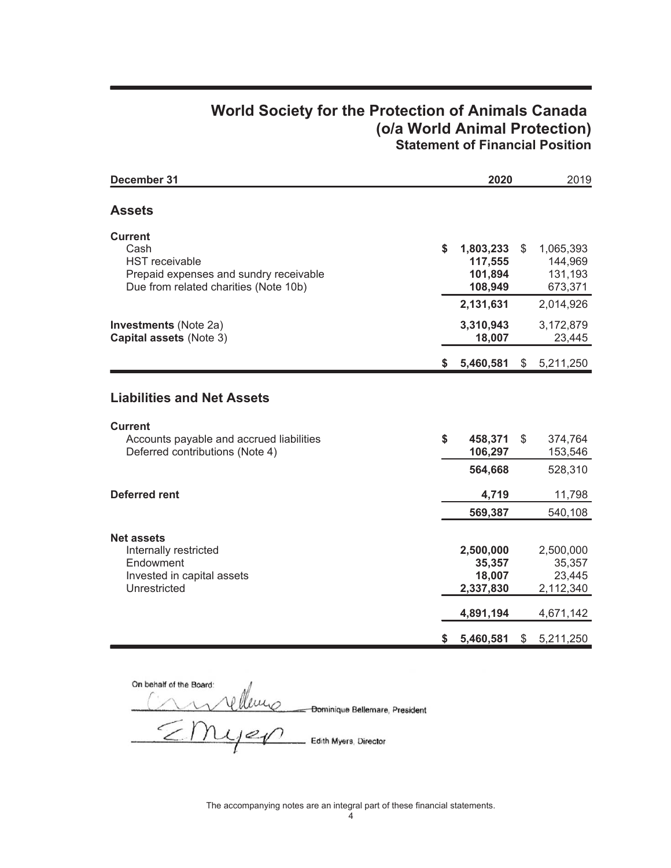# **World Society for the Protection of Animals Canada** (o/a World Animal Protection) **Statement of Financial Position**

| December 31                                                                                                                        | 2020 |                                                         | 2019           |                                                         |
|------------------------------------------------------------------------------------------------------------------------------------|------|---------------------------------------------------------|----------------|---------------------------------------------------------|
| <b>Assets</b>                                                                                                                      |      |                                                         |                |                                                         |
| <b>Current</b><br>Cash<br><b>HST</b> receivable<br>Prepaid expenses and sundry receivable<br>Due from related charities (Note 10b) | \$   | 1,803,233<br>117,555<br>101,894<br>108,949              | \$             | 1,065,393<br>144,969<br>131,193<br>673,371              |
| <b>Investments</b> (Note 2a)<br>Capital assets (Note 3)                                                                            |      | 2,131,631<br>3,310,943<br>18,007                        |                | 2,014,926<br>3,172,879<br>23,445                        |
|                                                                                                                                    | S.   | 5,460,581                                               | \$             | 5,211,250                                               |
| <b>Liabilities and Net Assets</b><br><b>Current</b><br>Accounts payable and accrued liabilities<br>Deferred contributions (Note 4) | \$   | 458,371<br>106,297                                      | $\mathfrak{S}$ | 374,764<br>153,546                                      |
|                                                                                                                                    |      | 564,668                                                 |                | 528,310                                                 |
| <b>Deferred rent</b>                                                                                                               |      | 4,719<br>569,387                                        |                | 11,798<br>540,108                                       |
| <b>Net assets</b><br>Internally restricted<br>Endowment<br>Invested in capital assets<br>Unrestricted                              |      | 2,500,000<br>35,357<br>18,007<br>2,337,830<br>4,891,194 |                | 2,500,000<br>35,357<br>23,445<br>2,112,340<br>4,671,142 |
|                                                                                                                                    | \$   | 5,460,581                                               | \$             | 5,211,250                                               |

On behalf of the Board:<br>
Cominique Bellemare, President<br>
COMUS Edith Myers, Director

The accompanying notes are an integral part of these financial statements.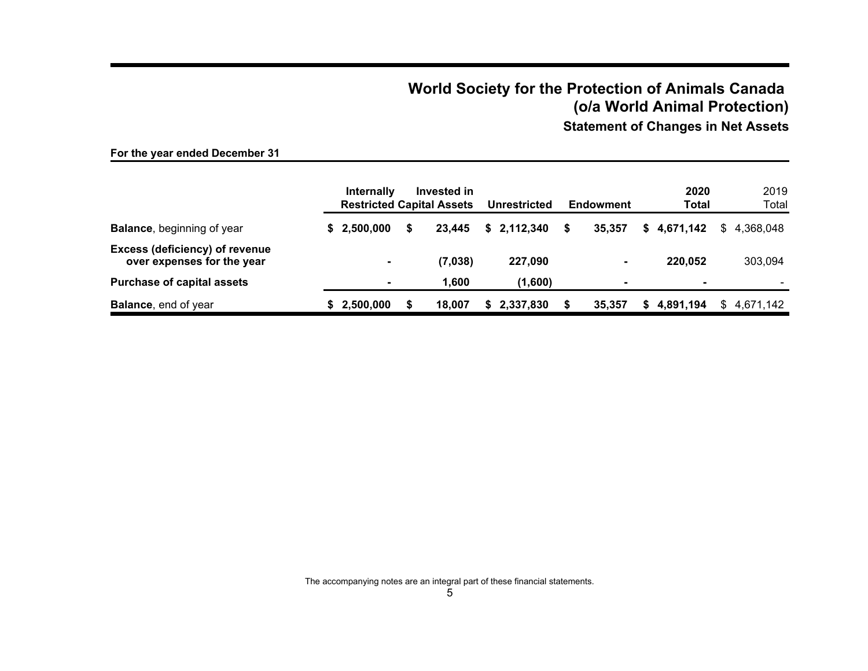# **World Society for the Protection of Animals Canada (o/a World Animal Protection)**

**Statement of Changes in Net Assets**

# **For the year ended December 31**

|                                                                     | <b>Internally</b><br><b>Restricted Capital Assets</b> | Invested in |   | <b>Unrestricted</b> |   | <b>Endowment</b> |    | 2020<br>Total  |    | 2019<br>Total |
|---------------------------------------------------------------------|-------------------------------------------------------|-------------|---|---------------------|---|------------------|----|----------------|----|---------------|
| <b>Balance, beginning of year</b>                                   | \$2,500,000                                           | 23.445      |   | \$2,112,340         | S | 35,357           | S. | 4,671,142      | S. | 4.368.048     |
| <b>Excess (deficiency) of revenue</b><br>over expenses for the year |                                                       | (7,038)     |   | 227.090             |   |                  |    | 220.052        |    | 303,094       |
| <b>Purchase of capital assets</b>                                   |                                                       | 1.600       |   | (1,600)             |   |                  |    | $\blacksquare$ |    |               |
| <b>Balance, end of year</b>                                         | 2,500,000                                             | 18.007      | S | 2,337,830           |   | 35,357           | æ. | 4,891,194      | S. | 4,671,142     |

The accompanying notes are an integral part of these financial statements.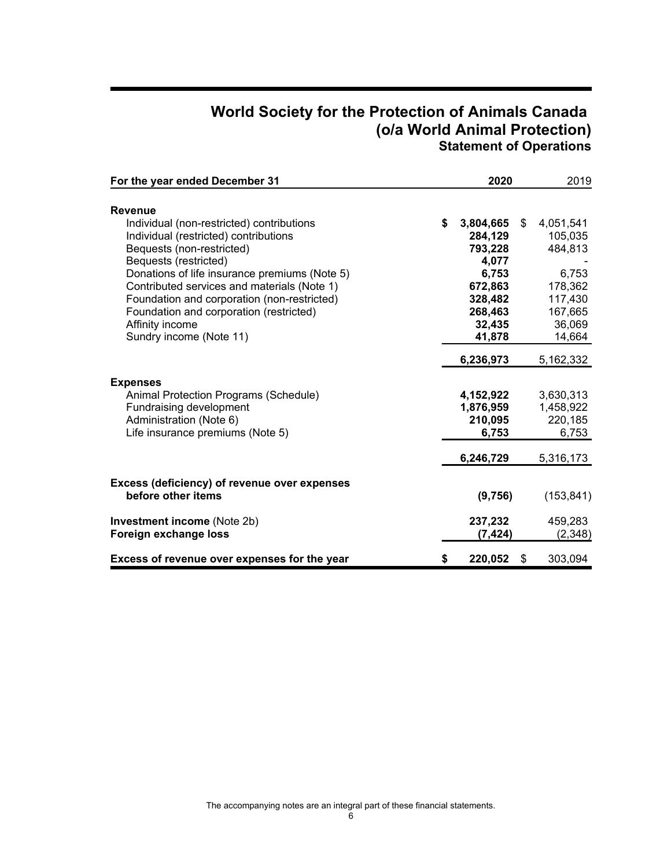# **World Society for the Protection of Animals Canada (o/a World Animal Protection) Statement of Operations**

| For the year ended December 31                                                                                                                                                                                                                                                                                                                                                                     | 2020                                                                                                         | 2019                                                                                                |
|----------------------------------------------------------------------------------------------------------------------------------------------------------------------------------------------------------------------------------------------------------------------------------------------------------------------------------------------------------------------------------------------------|--------------------------------------------------------------------------------------------------------------|-----------------------------------------------------------------------------------------------------|
| <b>Revenue</b><br>Individual (non-restricted) contributions<br>Individual (restricted) contributions<br>Bequests (non-restricted)<br>Bequests (restricted)<br>Donations of life insurance premiums (Note 5)<br>Contributed services and materials (Note 1)<br>Foundation and corporation (non-restricted)<br>Foundation and corporation (restricted)<br>Affinity income<br>Sundry income (Note 11) | \$<br>3,804,665<br>284,129<br>793,228<br>4,077<br>6,753<br>672,863<br>328,482<br>268,463<br>32,435<br>41,878 | \$<br>4,051,541<br>105,035<br>484,813<br>6,753<br>178,362<br>117,430<br>167,665<br>36,069<br>14,664 |
|                                                                                                                                                                                                                                                                                                                                                                                                    | 6,236,973                                                                                                    | 5,162,332                                                                                           |
| <b>Expenses</b><br>Animal Protection Programs (Schedule)<br>Fundraising development<br>Administration (Note 6)<br>Life insurance premiums (Note 5)                                                                                                                                                                                                                                                 | 4,152,922<br>1,876,959<br>210,095<br>6,753                                                                   | 3,630,313<br>1,458,922<br>220,185<br>6,753                                                          |
|                                                                                                                                                                                                                                                                                                                                                                                                    | 6,246,729                                                                                                    | 5,316,173                                                                                           |
| Excess (deficiency) of revenue over expenses<br>before other items<br><b>Investment income (Note 2b)</b><br>Foreign exchange loss                                                                                                                                                                                                                                                                  | (9,756)<br>237,232<br>(7,424)                                                                                | (153, 841)<br>459,283<br>(2,348)                                                                    |
| Excess of revenue over expenses for the year                                                                                                                                                                                                                                                                                                                                                       | \$<br>220,052                                                                                                | \$<br>303,094                                                                                       |

The accompanying notes are an integral part of these financial statements.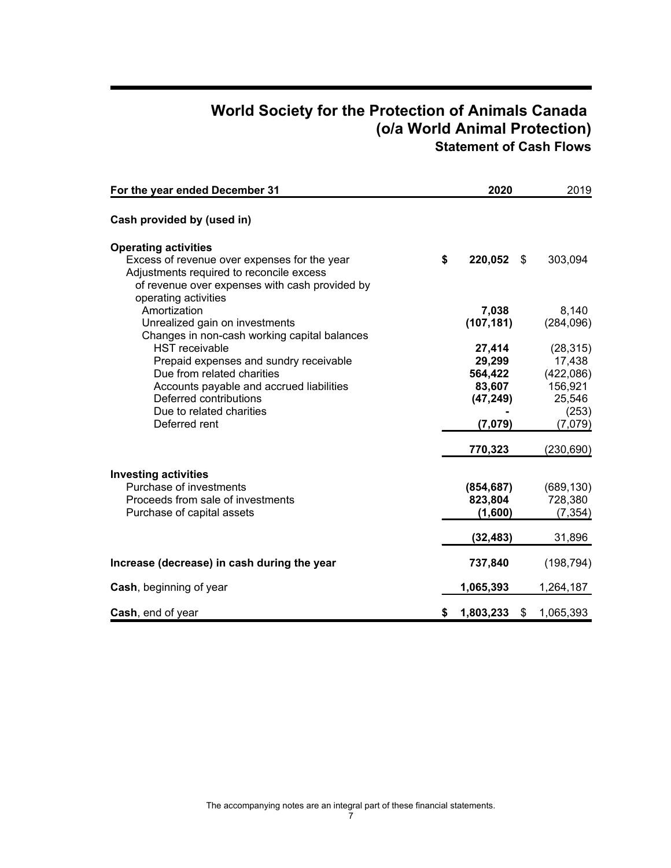# **World Society for the Protection of Animals Canada (o/a World Animal Protection) Statement of Cash Flows**

| For the year ended December 31                                                                                                                                                                                                                                   | 2020                                                          | 2019                                                                      |
|------------------------------------------------------------------------------------------------------------------------------------------------------------------------------------------------------------------------------------------------------------------|---------------------------------------------------------------|---------------------------------------------------------------------------|
| Cash provided by (used in)                                                                                                                                                                                                                                       |                                                               |                                                                           |
| <b>Operating activities</b><br>Excess of revenue over expenses for the year<br>Adjustments required to reconcile excess<br>of revenue over expenses with cash provided by<br>operating activities                                                                | \$<br>220,052 \$                                              | 303,094                                                                   |
| Amortization<br>Unrealized gain on investments                                                                                                                                                                                                                   | 7,038<br>(107, 181)                                           | 8,140<br>(284, 096)                                                       |
| Changes in non-cash working capital balances<br><b>HST</b> receivable<br>Prepaid expenses and sundry receivable<br>Due from related charities<br>Accounts payable and accrued liabilities<br>Deferred contributions<br>Due to related charities<br>Deferred rent | 27,414<br>29,299<br>564,422<br>83,607<br>(47, 249)<br>(7,079) | (28, 315)<br>17,438<br>(422,086)<br>156,921<br>25,546<br>(253)<br>(7,079) |
|                                                                                                                                                                                                                                                                  | 770,323                                                       | (230, 690)                                                                |
| <b>Investing activities</b><br>Purchase of investments<br>Proceeds from sale of investments<br>Purchase of capital assets                                                                                                                                        | (854, 687)<br>823,804<br>(1,600)                              | (689, 130)<br>728,380<br>(7, 354)                                         |
|                                                                                                                                                                                                                                                                  | (32, 483)                                                     | 31,896                                                                    |
| Increase (decrease) in cash during the year                                                                                                                                                                                                                      | 737,840                                                       | (198, 794)                                                                |
| Cash, beginning of year                                                                                                                                                                                                                                          | 1,065,393                                                     | 1,264,187                                                                 |
| Cash, end of year                                                                                                                                                                                                                                                | \$<br>1,803,233<br>\$                                         | 1,065,393                                                                 |

7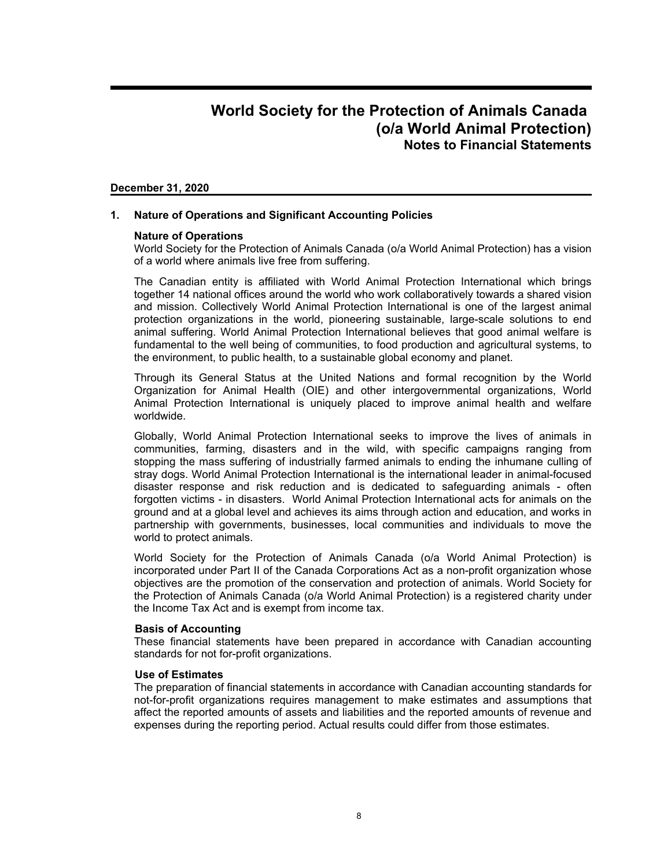### **December 31, 2020**

### **1. Nature of Operations and Significant Accounting Policies**

### **Nature of Operations**

World Society for the Protection of Animals Canada (o/a World Animal Protection) has a vision of a world where animals live free from suffering.

The Canadian entity is affiliated with World Animal Protection International which brings together 14 national offices around the world who work collaboratively towards a shared vision and mission. Collectively World Animal Protection International is one of the largest animal protection organizations in the world, pioneering sustainable, large-scale solutions to end animal suffering. World Animal Protection International believes that good animal welfare is fundamental to the well being of communities, to food production and agricultural systems, to the environment, to public health, to a sustainable global economy and planet.

Through its General Status at the United Nations and formal recognition by the World Organization for Animal Health (OIE) and other intergovernmental organizations, World Animal Protection International is uniquely placed to improve animal health and welfare worldwide.

Globally, World Animal Protection International seeks to improve the lives of animals in communities, farming, disasters and in the wild, with specific campaigns ranging from stopping the mass suffering of industrially farmed animals to ending the inhumane culling of stray dogs. World Animal Protection International is the international leader in animal-focused disaster response and risk reduction and is dedicated to safeguarding animals - often forgotten victims - in disasters. World Animal Protection International acts for animals on the ground and at a global level and achieves its aims through action and education, and works in partnership with governments, businesses, local communities and individuals to move the world to protect animals.

World Society for the Protection of Animals Canada (o/a World Animal Protection) is incorporated under Part II of the Canada Corporations Act as a non-profit organization whose objectives are the promotion of the conservation and protection of animals. World Society for the Protection of Animals Canada (o/a World Animal Protection) is a registered charity under the Income Tax Act and is exempt from income tax.

#### **Basis of Accounting**

These financial statements have been prepared in accordance with Canadian accounting standards for not for-profit organizations.

### **Use of Estimates**

The preparation of financial statements in accordance with Canadian accounting standards for not-for-profit organizations requires management to make estimates and assumptions that affect the reported amounts of assets and liabilities and the reported amounts of revenue and expenses during the reporting period. Actual results could differ from those estimates.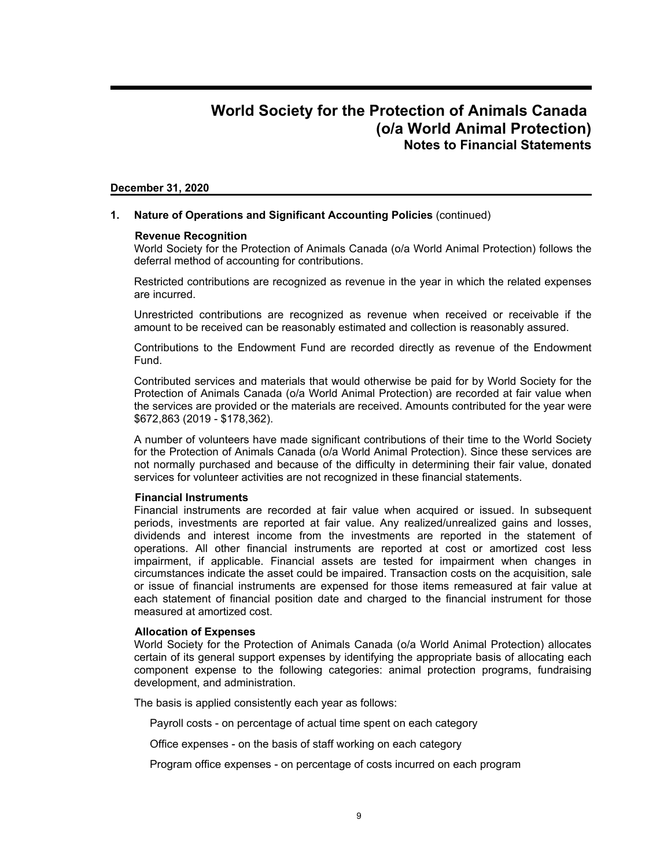#### **December 31, 2020**

#### **1. Nature of Operations and Significant Accounting Policies** (continued)

#### **Revenue Recognition**

World Society for the Protection of Animals Canada (o/a World Animal Protection) follows the deferral method of accounting for contributions.

Restricted contributions are recognized as revenue in the year in which the related expenses are incurred.

Unrestricted contributions are recognized as revenue when received or receivable if the amount to be received can be reasonably estimated and collection is reasonably assured.

Contributions to the Endowment Fund are recorded directly as revenue of the Endowment Fund.

Contributed services and materials that would otherwise be paid for by World Society for the Protection of Animals Canada (o/a World Animal Protection) are recorded at fair value when the services are provided or the materials are received. Amounts contributed for the year were \$672,863 (2019 - \$178,362).

A number of volunteers have made significant contributions of their time to the World Society for the Protection of Animals Canada (o/a World Animal Protection). Since these services are not normally purchased and because of the difficulty in determining their fair value, donated services for volunteer activities are not recognized in these financial statements.

#### **Financial Instruments**

Financial instruments are recorded at fair value when acquired or issued. In subsequent periods, investments are reported at fair value. Any realized/unrealized gains and losses, dividends and interest income from the investments are reported in the statement of operations. All other financial instruments are reported at cost or amortized cost less impairment, if applicable. Financial assets are tested for impairment when changes in circumstances indicate the asset could be impaired. Transaction costs on the acquisition, sale or issue of financial instruments are expensed for those items remeasured at fair value at each statement of financial position date and charged to the financial instrument for those measured at amortized cost.

#### **Allocation of Expenses**

World Society for the Protection of Animals Canada (o/a World Animal Protection) allocates certain of its general support expenses by identifying the appropriate basis of allocating each component expense to the following categories: animal protection programs, fundraising development, and administration.

The basis is applied consistently each year as follows:

Payroll costs - on percentage of actual time spent on each category

Office expenses - on the basis of staff working on each category

Program office expenses - on percentage of costs incurred on each program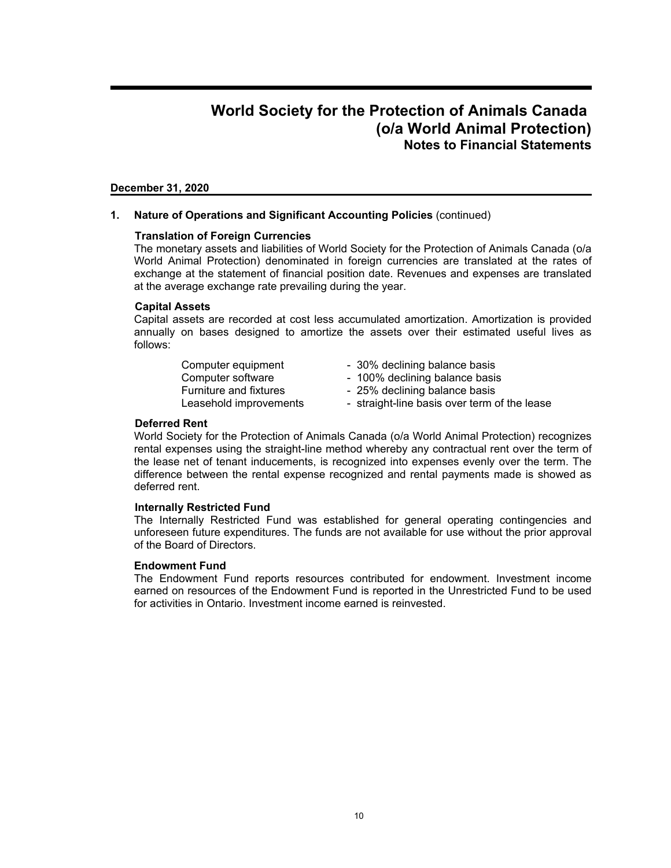### **December 31, 2020**

**1. Nature of Operations and Significant Accounting Policies** (continued)

### **Translation of Foreign Currencies**

The monetary assets and liabilities of World Society for the Protection of Animals Canada (o/a World Animal Protection) denominated in foreign currencies are translated at the rates of exchange at the statement of financial position date. Revenues and expenses are translated at the average exchange rate prevailing during the year.

#### **Capital Assets**

Capital assets are recorded at cost less accumulated amortization. Amortization is provided annually on bases designed to amortize the assets over their estimated useful lives as follows:

- Computer equipment 30% declining balance basis
- Computer software 100% declining balance basis
- Furniture and fixtures 25% declining balance basis
- Leasehold improvements straight-line basis over term of the lease

### **Deferred Rent**

World Society for the Protection of Animals Canada (o/a World Animal Protection) recognizes rental expenses using the straight-line method whereby any contractual rent over the term of the lease net of tenant inducements, is recognized into expenses evenly over the term. The difference between the rental expense recognized and rental payments made is showed as deferred rent.

#### **Internally Restricted Fund**

The Internally Restricted Fund was established for general operating contingencies and unforeseen future expenditures. The funds are not available for use without the prior approval of the Board of Directors.

#### **Endowment Fund**

The Endowment Fund reports resources contributed for endowment. Investment income earned on resources of the Endowment Fund is reported in the Unrestricted Fund to be used for activities in Ontario. Investment income earned is reinvested.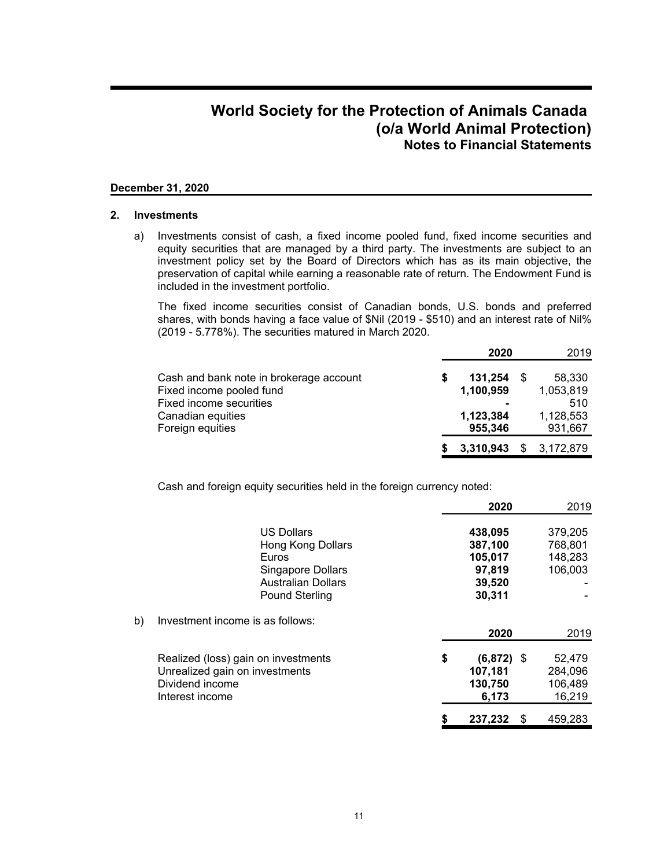### **December 31, 2020**

#### **2. Investments**

a) Investments consist of cash, a fixed income pooled fund, fixed income securities and equity securities that are managed by a third party. The investments are subject to an investment policy set by the Board of Directors which has as its main objective, the preservation of capital while earning a reasonable rate of return. The Endowment Fund is included in the investment portfolio.

The fixed income securities consist of Canadian bonds, U.S. bonds and preferred shares, with bonds having a face value of \$Nil (2019 - \$510) and an interest rate of Nil% (2019 - 5.778%). The securities matured in March 2020.

|                                         | 2020      | 2019            |
|-----------------------------------------|-----------|-----------------|
| Cash and bank note in brokerage account | 131.254   | 58,330          |
| Fixed income pooled fund                | 1,100,959 | 1,053,819       |
| Fixed income securities                 |           | 510             |
| Canadian equities                       | 1,123,384 | 1,128,553       |
| Foreign equities                        | 955,346   | 931,667         |
|                                         | 3,310,943 | \$<br>3,172,879 |

Cash and foreign equity securities held in the foreign currency noted:

|    |                                     | 2020               |   | 2019    |
|----|-------------------------------------|--------------------|---|---------|
|    | <b>US Dollars</b>                   | 438,095            |   | 379,205 |
|    | Hong Kong Dollars                   | 387,100            |   | 768,801 |
|    | Euros                               | 105,017            |   | 148,283 |
|    | <b>Singapore Dollars</b>            | 97,819             |   | 106,003 |
|    | <b>Australian Dollars</b>           | 39,520             |   |         |
|    | <b>Pound Sterling</b>               | 30,311             |   |         |
| b) | Investment income is as follows:    |                    |   |         |
|    |                                     | 2020               |   | 2019    |
|    | Realized (loss) gain on investments | \$<br>$(6,872)$ \$ |   | 52,479  |
|    | Unrealized gain on investments      | 107,181            |   | 284,096 |
|    | Dividend income                     | 130,750            |   | 106,489 |
|    | Interest income                     | 6,173              |   | 16,219  |
|    |                                     | 237,232            | S | 459,283 |
|    |                                     |                    |   |         |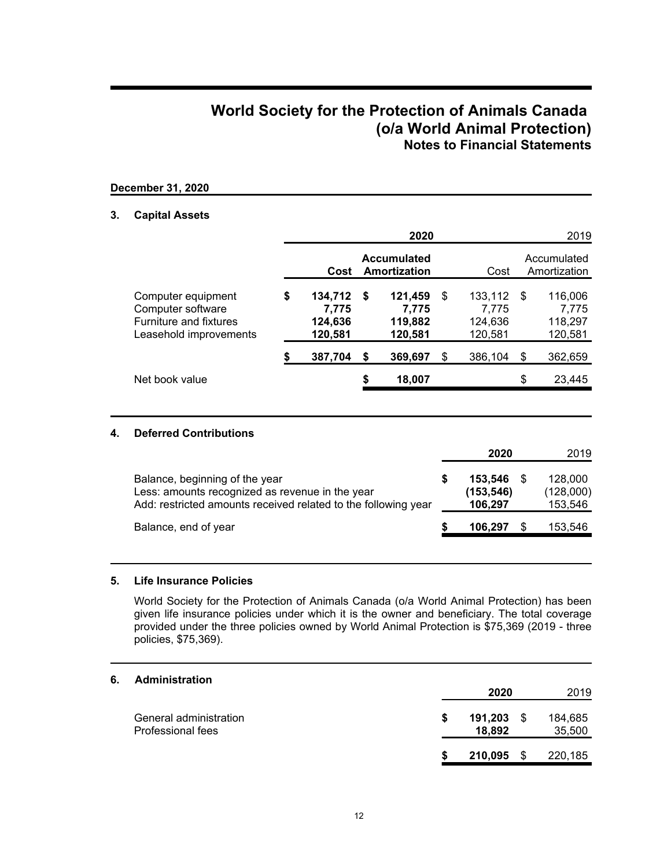### **December 31, 2020**

### **3. Capital Assets**

|                                                                                             |    |                                        |    | 2020                                   |                                              |      | 2019                                   |
|---------------------------------------------------------------------------------------------|----|----------------------------------------|----|----------------------------------------|----------------------------------------------|------|----------------------------------------|
|                                                                                             |    | Cost                                   |    | <b>Accumulated</b><br>Amortization     | Cost                                         |      | Accumulated<br>Amortization            |
| Computer equipment<br>Computer software<br>Furniture and fixtures<br>Leasehold improvements | \$ | 134,712<br>7,775<br>124,636<br>120,581 | -S | 121,459<br>7.775<br>119,882<br>120,581 | \$<br>133,112<br>7,775<br>124,636<br>120,581 | - \$ | 116,006<br>7,775<br>118,297<br>120,581 |
|                                                                                             | S  | 387,704                                | \$ | 369,697                                | \$<br>386,104                                | \$   | 362,659                                |
| Net book value                                                                              |    |                                        | \$ | 18,007                                 |                                              | \$   | 23,445                                 |
|                                                                                             |    |                                        |    |                                        |                                              |      |                                        |

# **4. Deferred Contributions**

|                                                                                                                                                     | 2020                            | 2019                            |
|-----------------------------------------------------------------------------------------------------------------------------------------------------|---------------------------------|---------------------------------|
| Balance, beginning of the year<br>Less: amounts recognized as revenue in the year<br>Add: restricted amounts received related to the following year | 153,546<br>(153,546)<br>106,297 | 128,000<br>(128,000)<br>153,546 |
| Balance, end of year                                                                                                                                | 106.297                         | 153,546                         |

## **5. Life Insurance Policies**

World Society for the Protection of Animals Canada (o/a World Animal Protection) has been given life insurance policies under which it is the owner and beneficiary. The total coverage provided under the three policies owned by World Animal Protection is \$75,369 (2019 - three policies, \$75,369).

# **6. Administration**

|                                             | 2020                         | 2019 |                   |
|---------------------------------------------|------------------------------|------|-------------------|
| General administration<br>Professional fees | \$<br>$191,203$ \$<br>18.892 |      | 184,685<br>35,500 |
|                                             | $210,095$ \$                 |      | 220,185           |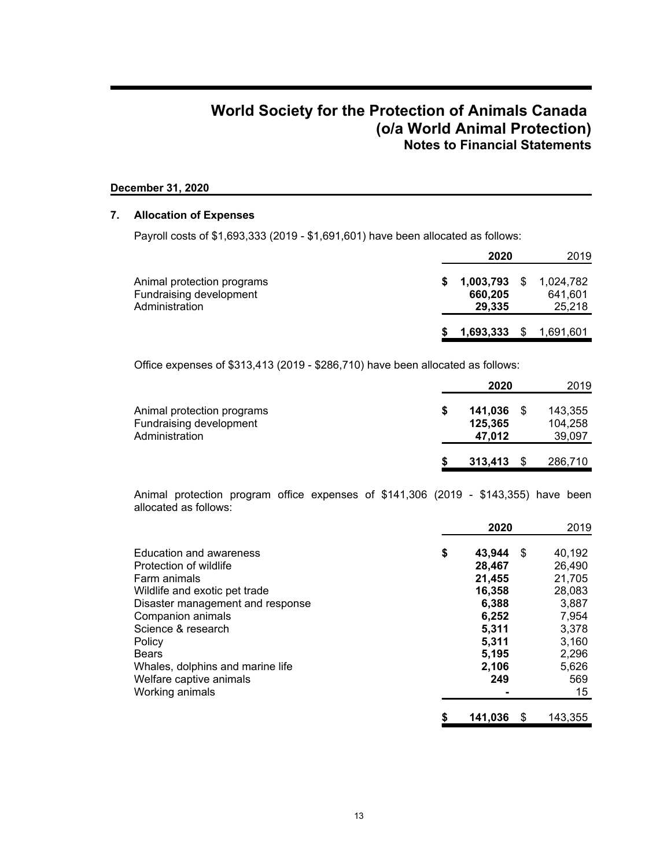# **December 31, 2020**

### **7. Allocation of Expenses**

Payroll costs of \$1,693,333 (2019 - \$1,691,601) have been allocated as follows:

|                                                                         |   | 2020                                | 2019                           |
|-------------------------------------------------------------------------|---|-------------------------------------|--------------------------------|
| Animal protection programs<br>Fundraising development<br>Administration | S | $1,003,793$ \$<br>660,205<br>29.335 | 1,024,782<br>641,601<br>25,218 |
|                                                                         |   | 1,693,333 \$ 1,691,601              |                                |

Office expenses of \$313,413 (2019 - \$286,710) have been allocated as follows:

|                                                                         | 2020                         | 2019 |                              |
|-------------------------------------------------------------------------|------------------------------|------|------------------------------|
| Animal protection programs<br>Fundraising development<br>Administration | 141.036<br>125.365<br>47.012 |      | 143,355<br>104.258<br>39,097 |
|                                                                         | 313.413                      |      | 286,710                      |

Animal protection program office expenses of \$141,306 (2019 - \$143,355) have been allocated as follows:

|                                  | 2020          |      | 2019    |
|----------------------------------|---------------|------|---------|
| Education and awareness          | \$<br>43,944  | - \$ | 40,192  |
| Protection of wildlife           | 28,467        |      | 26,490  |
| Farm animals                     | 21,455        |      | 21,705  |
| Wildlife and exotic pet trade    | 16,358        |      | 28,083  |
| Disaster management and response | 6,388         |      | 3,887   |
| Companion animals                | 6,252         |      | 7,954   |
| Science & research               | 5,311         |      | 3,378   |
| Policy                           | 5,311         |      | 3,160   |
| <b>Bears</b>                     | 5,195         |      | 2,296   |
| Whales, dolphins and marine life | 2,106         |      | 5,626   |
| Welfare captive animals          | 249           |      | 569     |
| Working animals                  |               |      | 15      |
|                                  | \$<br>141,036 | S    | 143.355 |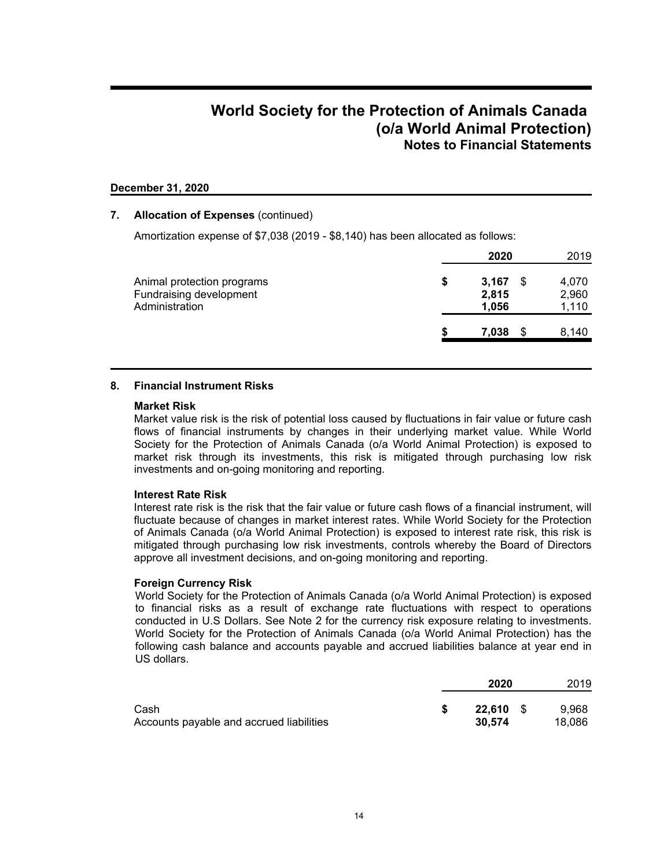### **December 31, 2020**

### **7. Allocation of Expenses** (continued)

Amortization expense of \$7,038 (2019 - \$8,140) has been allocated as follows:

|                                                                                |    | 2020                    |   | 2019                    |
|--------------------------------------------------------------------------------|----|-------------------------|---|-------------------------|
| Animal protection programs<br><b>Fundraising development</b><br>Administration | \$ | 3,167<br>2,815<br>1.056 | S | 4,070<br>2,960<br>1,110 |
|                                                                                | S  | 7,038                   | S | 8,140                   |

### **8. Financial Instrument Risks**

#### **Market Risk**

Market value risk is the risk of potential loss caused by fluctuations in fair value or future cash flows of financial instruments by changes in their underlying market value. While World Society for the Protection of Animals Canada (o/a World Animal Protection) is exposed to market risk through its investments, this risk is mitigated through purchasing low risk investments and on-going monitoring and reporting.

### **Interest Rate Risk**

Interest rate risk is the risk that the fair value or future cash flows of a financial instrument, will fluctuate because of changes in market interest rates. While World Society for the Protection of Animals Canada (o/a World Animal Protection) is exposed to interest rate risk, this risk is mitigated through purchasing low risk investments, controls whereby the Board of Directors approve all investment decisions, and on-going monitoring and reporting.

#### **Foreign Currency Risk**

World Society for the Protection of Animals Canada (o/a World Animal Protection) is exposed to financial risks as a result of exchange rate fluctuations with respect to operations conducted in U.S Dollars. See Note 2 for the currency risk exposure relating to investments. World Society for the Protection of Animals Canada (o/a World Animal Protection) has the following cash balance and accounts payable and accrued liabilities balance at year end in US dollars.

|                                                  | 2020                       | 2019            |
|--------------------------------------------------|----------------------------|-----------------|
| Cash<br>Accounts payable and accrued liabilities | <b>22.610</b> \$<br>30.574 | 9.968<br>18.086 |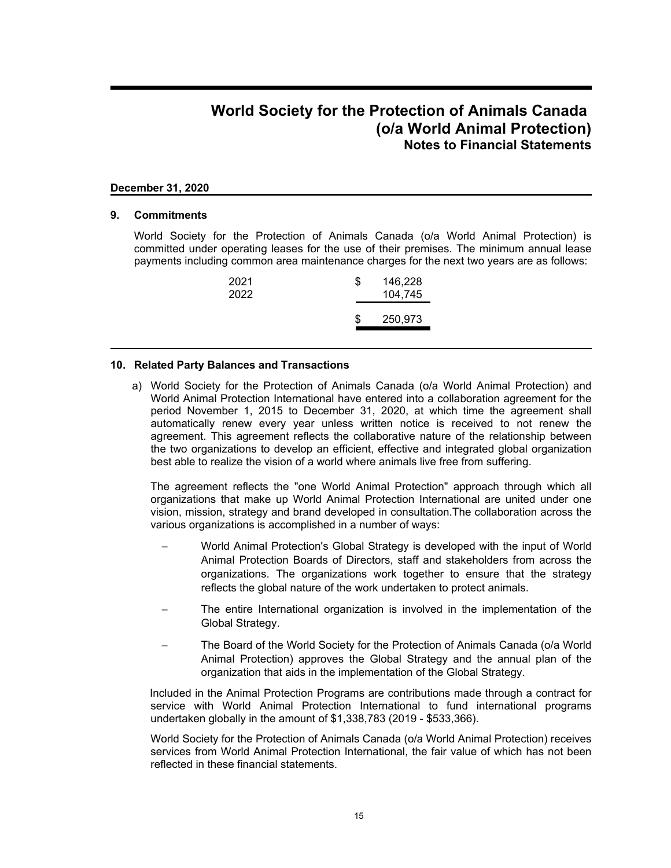### **December 31, 2020**

### **9. Commitments**

World Society for the Protection of Animals Canada (o/a World Animal Protection) is committed under operating leases for the use of their premises. The minimum annual lease payments including common area maintenance charges for the next two years are as follows:

| 2021<br>2022 | \$ | 146,228<br>104,745 |
|--------------|----|--------------------|
|              | S. | 250,973            |

### **10. Related Party Balances and Transactions**

a) World Society for the Protection of Animals Canada (o/a World Animal Protection) and World Animal Protection International have entered into a collaboration agreement for the period November 1, 2015 to December 31, 2020, at which time the agreement shall automatically renew every year unless written notice is received to not renew the agreement. This agreement reflects the collaborative nature of the relationship between the two organizations to develop an efficient, effective and integrated global organization best able to realize the vision of a world where animals live free from suffering.

The agreement reflects the "one World Animal Protection" approach through which all organizations that make up World Animal Protection International are united under one vision, mission, strategy and brand developed in consultation.The collaboration across the various organizations is accomplished in a number of ways:

- World Animal Protection's Global Strategy is developed with the input of World Animal Protection Boards of Directors, staff and stakeholders from across the organizations. The organizations work together to ensure that the strategy reflects the global nature of the work undertaken to protect animals.
- The entire International organization is involved in the implementation of the Global Strategy.
- The Board of the World Society for the Protection of Animals Canada (o/a World Animal Protection) approves the Global Strategy and the annual plan of the organization that aids in the implementation of the Global Strategy.

Included in the Animal Protection Programs are contributions made through a contract for service with World Animal Protection International to fund international programs undertaken globally in the amount of \$1,338,783 (2019 - \$533,366).

World Society for the Protection of Animals Canada (o/a World Animal Protection) receives services from World Animal Protection International, the fair value of which has not been reflected in these financial statements.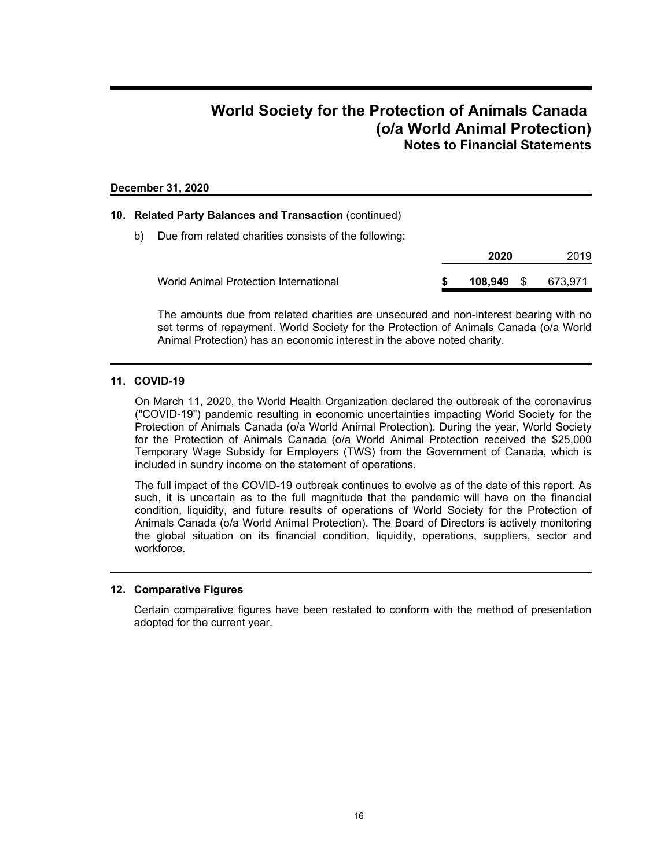### **December 31, 2020**

### **10. Related Party Balances and Transaction** (continued)

b) Due from related charities consists of the following:

|                                       |  | 2020    | 2019     |         |
|---------------------------------------|--|---------|----------|---------|
| World Animal Protection International |  | 108.949 | <b>S</b> | 673.971 |

The amounts due from related charities are unsecured and non-interest bearing with no set terms of repayment. World Society for the Protection of Animals Canada (o/a World Animal Protection) has an economic interest in the above noted charity.

### **11. COVID-19**

On March 11, 2020, the World Health Organization declared the outbreak of the coronavirus ("COVID-19") pandemic resulting in economic uncertainties impacting World Society for the Protection of Animals Canada (o/a World Animal Protection). During the year, World Society for the Protection of Animals Canada (o/a World Animal Protection received the \$25,000 Temporary Wage Subsidy for Employers (TWS) from the Government of Canada, which is included in sundry income on the statement of operations.

The full impact of the COVID-19 outbreak continues to evolve as of the date of this report. As such, it is uncertain as to the full magnitude that the pandemic will have on the financial condition, liquidity, and future results of operations of World Society for the Protection of Animals Canada (o/a World Animal Protection). The Board of Directors is actively monitoring the global situation on its financial condition, liquidity, operations, suppliers, sector and workforce.

### **12. Comparative Figures**

Certain comparative figures have been restated to conform with the method of presentation adopted for the current year.